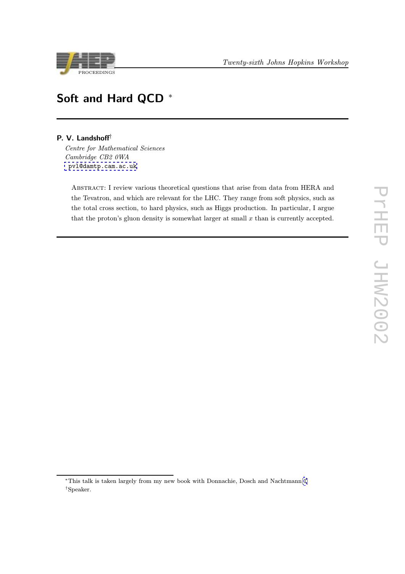

# Soft and Hard QCD <sup>∗</sup>

#### P. V. Landshoff†

Centre for Mathematical Sciences Cambridge CB2 0WA pvl@damtp.cam.ac.uk

Abstract: I review various theoretical questions that arise from data from HERA and [the Tevatron, and whi](mailto: pvl@damtp.cam.ac.uk)ch are relevant for the LHC. They range from soft physics, such as the total cross section, to hard physics, such as Higgs production. In particular, I argue that the proton's gluon density is somewhat larger at small  $x$  than is currently accepted.

<sup>∗</sup>This talk is taken largely from my new book with Donnachie, Dosch and Nachtmann[1] †Speaker.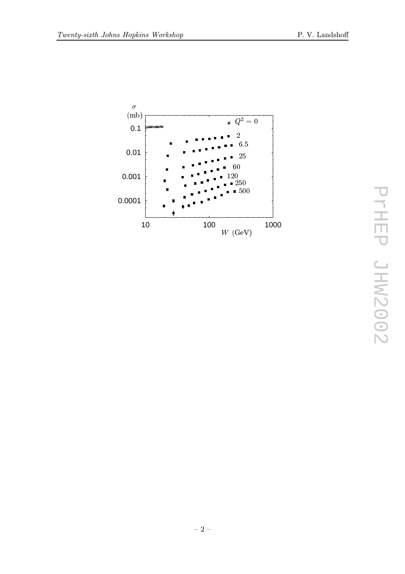<span id="page-1-0"></span>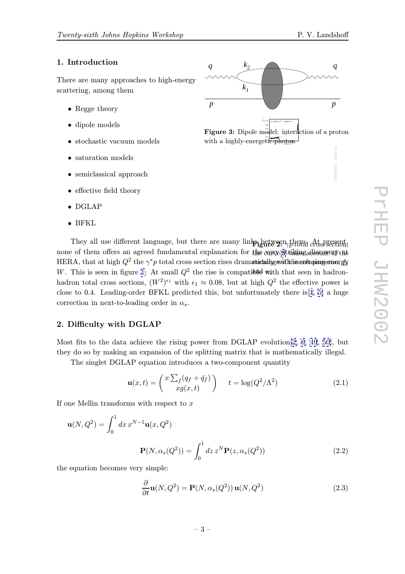## <span id="page-2-0"></span>1. Introduction

There are many approaches to high-energy scattering, among them

- Regge theory
- dipole models
- stochastic vacuum models
- saturation models
- semiclassical approach
- effective field theory
- DGLAP
- BFKL

They all use different language, but there are many links between them. At present,<br>of them offers an agreed fundamental explanation for the *xery strilling discovery* in none of them offers an agreed fundamental explanation for the very striking adiscovery the HERA, that at high  $Q^2$  the  $\gamma^*p$  total cross section rises dramatically evith in softa ping energy W. This is seen in figure 1. At small  $Q^2$  the rise is compatible with that seen in hadronhadron total cross sections,  $(W^2)^{\epsilon_1}$  wi[th](#page-17-0)  $\epsilon_1 \approx 0.08$ , but at high  $Q^2$  the effective power is close to 0.4. Leading-order BFKL predicted this, but unfortunately there is [4, 5] a huge correctio[n](#page-1-0) in next-to-leading order in  $\alpha_s$ .

#### 2. Difficulty with DGLAP

Most fits to the data achieve the rising power from DGLAP evolution[2, 6, 49, 50], but they do so by making an expansion of the splitting matrix that is mathematically illegal.

The singlet DGLAP equation introduces a two-component quantity

$$
\mathbf{u}(x,t) = \begin{pmatrix} x \sum_f (q_f + \bar{q}_f) \\ xg(x,t) \end{pmatrix} \qquad t = \log(Q^2/\Lambda^2)
$$
 (2.1)

If one Mellin transforms with respect to  $x$ 

$$
\mathbf{u}(N, Q^2) = \int_0^1 dx \, x^{N-1} \mathbf{u}(x, Q^2)
$$

$$
\mathbf{P}(N, \alpha_s(Q^2)) = \int_0^1 dz \, z^N \mathbf{P}(z, \alpha_s(Q^2)) \tag{2.2}
$$

the equation becomes very simple:

$$
\frac{\partial}{\partial t}\mathbf{u}(N, Q^2) = \mathbf{P}(N, \alpha_s(Q^2))\mathbf{u}(N, Q^2)
$$
\n(2.3)

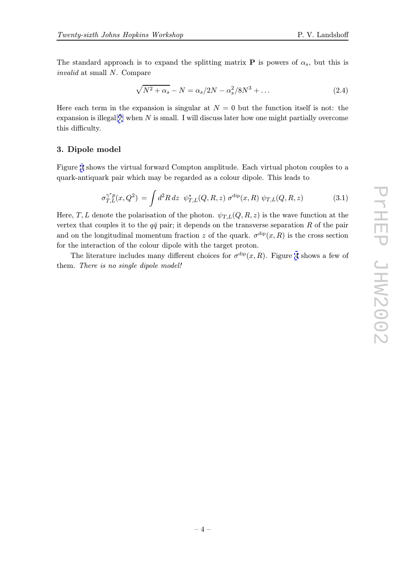The standard approach is to expand the splitting matrix **P** is powers of  $\alpha_s$ , but this is invalid at small N. Compare

$$
\sqrt{N^2 + \alpha_s} - N = \alpha_s / 2N - \alpha_s^2 / 8N^3 + \dots
$$
\n(2.4)

Here each term in the expansion is singular at  $N = 0$  but the function itself is not: the expansion is illegal<sup>[7]</sup> when  $N$  is small. I will discuss later how one might partially overcome this difficulty.

## 3. Dipole mode[l](#page-17-0)

Figure 3 shows the virtual forward Compton amplitude. Each virtual photon couples to a quark-antiquark pair which may be regarded as a colour dipole. This leads to

$$
\sigma_{T,L}^{\gamma^*p}(x,Q^2) = \int d^2R \, dz \, \psi_{T,L}^*(Q,R,z) \, \sigma^{\text{dip}}(x,R) \, \psi_{T,L}(Q,R,z) \tag{3.1}
$$

Here, T, L denote the polarisation of the photon.  $\psi_{TL}(Q, R, z)$  is the wave function at the vertex that couples it to the  $q\bar{q}$  pair; it depends on the transverse separation R of the pair and on the longitudinal momentum fraction z of the quark.  $\sigma^{\text{dip}}(x, R)$  is the cross section for the interaction of the colour dipole with the target proton.

The literature includes many different choices for  $\sigma^{\text{dip}}(x, R)$ . Figure 4 shows a few of them. There is no single dipole model!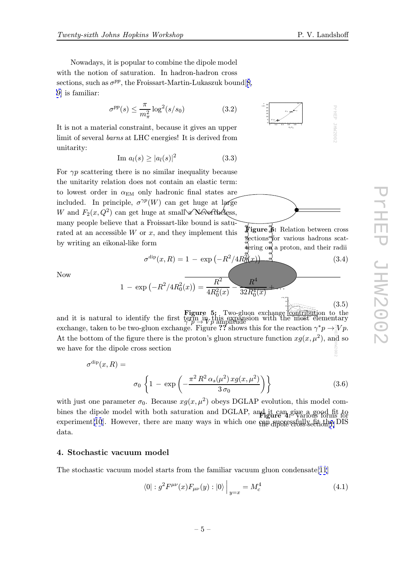0 0.2 0.4 0.6 0.8 1

 $R_B = \frac{1}{\sqrt{2}}$ <br>  $\frac{R_B}{r} = \frac{1}{2}$ <br>  $\frac{0.2}{R_A} = \frac{0.8}{R_A} = \frac{1}{2}$ 

 $\mathbf{\hat{F}}$ igure  $\mathbf{\hat{g}}$ : Relation between cross ections<sup>of</sup> for various hadrons scat-

p p

 $\sim$  30  $\sim$  30  $\sim$  30  $\sim$ (mb)

> PrHEP JHW2002 POOZMHT GHN

Nowadays, it is popular to combine the dipole model with the notion of saturation. In hadron-hadron cross sections, such as  $\sigma^{pp}$ , the Froissart-Martin-Lukaszuk bound[8, 9] is familiar:

$$
\sigma^{pp}(s) \le \frac{\pi}{m_{\pi}^2} \log^2(s/s_0)
$$
\n(3.2)

[It](#page-17-0) is not a material constraint, because it gives an upper limit of several barns at LHC energies! It is derived from unitarity:

$$
\text{Im } a_l(s) \ge |a_l(s)|^2 \tag{3.3}
$$

For  $\gamma p$  scattering there is no similar inequality because the unitarity relation does not contain an elastic term: to lowest order in  $\alpha_{EM}$  only hadronic final states are included. In principle,  $\sigma^{\gamma p}(W)$  can get huge at large W and  $F_2(x, Q^2)$  can get huge at small x Nevertheless, many people believe that a Froissart-like bound is saturated at an accessible  $W$  or  $x$ , and they implement this by writing an eikonal-like form

$$
\sigma^{\text{dip}}(x,R) = 1 - \exp(-R^2/4R_0^2(x))
$$
\n
$$
(3.4)
$$

Now

$$
1 - \exp(-R^2/4R_0^2(x)) = \frac{R^2}{4R_0^2(x)} - \frac{R^4}{32R_0^4(x)} + \dots
$$
\n(3.5)

PrHEP JHW2002 0.1 0.2 0.3 0.4 0.5 5 10 Figure 5: Two-gluon exchange  $\overline{\text{Contribution}}$  to the term in this expansion with the most elementary  $\gamma^*p \to \gamma p$  amplitude and it is natural to identify the first term in this expansion with the most elementary exchange, taken to be two-gluon exchange. Figure ?? shows this for the reaction  $\gamma^*p \to Vp$ . At the bottom of the figure there is the proton's gluon structure function  $xg(x, \mu^2)$ , and so we have for the dipole cross section

$$
\sigma^{\text{dip}}(x,R) = \sigma_0 \left\{ 1 - \exp\left(-\frac{\pi^2 R^2 \alpha_s(\mu^2) x g(x,\mu^2)}{3 \sigma_0}\right) \right\}
$$
(3.6)

bines the dipole model with both saturation and DOLAT,  $\lim_{k \to \infty} \lim_{k \to \infty} \lim_{k \to \infty} \lim_{k \to \infty} \lim_{k \to \infty} \lim_{k \to \infty} \lim_{k \to \infty} \lim_{k \to \infty} \lim_{k \to \infty} \lim_{k \to \infty} \lim_{k \to \infty} \lim_{k \to \infty} \lim_{k \to \infty} \lim_{k \to \infty} \lim_{k \to \infty} \lim_{k \to \infty} \lim_{k \$ with just one parameter  $\sigma_0$ . Because  $xg(x, \mu^2)$  obeys DGLAP evolution, this model combines the dipole model with both saturation and DGLAP, and it can give a good fit to data.

#### 4. Stocha[sti](#page-17-0)c vacuum model

The stochastic vacuum model starts from the familiar vacuum gluon condensate  $[11]$ 

$$
\langle 0 | : g^2 F^{\mu\nu}(x) F_{\mu\nu}(y) : | 0 \rangle \Big|_{y=x} = M_c^4 \tag{4.1}
$$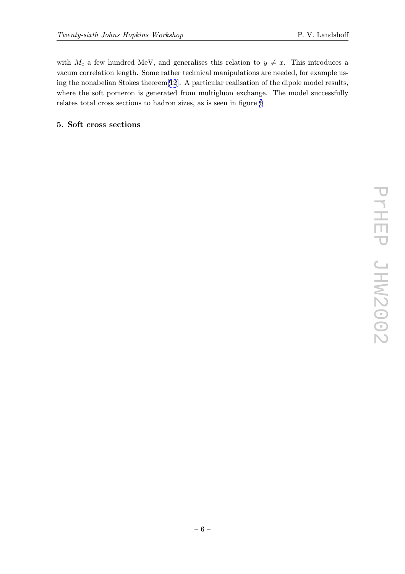with  $M_c$  a few hundred MeV, and generalises this relation to  $y \neq x$ . This introduces a vacum correlation length. Some rather technical manipulations are needed, for example using the nonabelian Stokes theorem[12]. A particular realisation of the dipole model results, where the soft pomeron is generated from multigluon exchange. The model successfully relates total cross sections to hadron sizes, as is seen in figure 6

## 5. Soft cross sections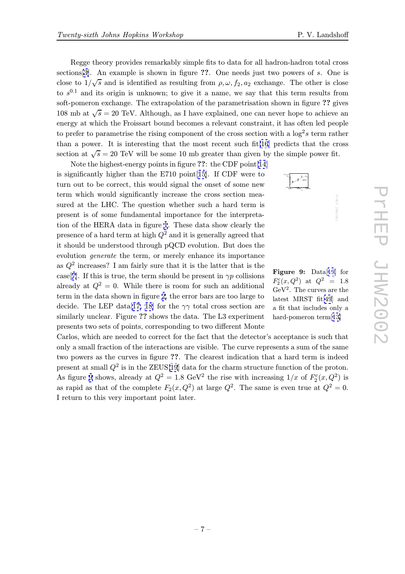<span id="page-6-0"></span>Regge theory provides remarkably simple fits to data for all hadron-hadron total cross sections [3]. An example is shown in figure  $\mathfrak{P}$ . One needs just two powers of s. One is close to  $1/\sqrt{s}$  and is identified as resulting from  $\rho, \omega, f_2, a_2$  exchange. The other is close to  $s^{0.1}$  and its origin is unknown; to give it a name, we say that this term results from soft-po[me](#page-17-0)ron exchange. The extrapolation of the parametrisation shown in figure ?? gives 108 mb at  $\sqrt{s} = 20$  TeV. Although, as I have explained, one can never hope to achieve an energy at which the Froissart bound becomes a relevant constraint, it has often led people to prefer to parametrise the rising component of the cross section with a  $\log^2 s$  term rather than a power. It is interesting that the most recent such  $fit[16]$  predicts that the cross section at  $\sqrt{s} = 20$  TeV will be some 10 mb greater than given by the simple power fit.

Note the highest-energy points in figure ??: the CDF point[14] is significantly higher than the E710 point[15]. If CDF were [to](#page-17-0) turn out to be correct, this would signal the onset of some new term which would significantly increase the cross section me[a](#page-17-0)sured at the LHC. The question whether [suc](#page-17-0)h a hard term is present is of some fundamental importance for the interpretation of the HERA data in figure 1. These data show clearly the presence of a hard term at high  $Q^2$  and it is generally agreed that it should be understood through pQCD evolution. But does the evolution generate the term, or [m](#page-1-0)erely enhance its importance as  $Q^2$  increases? I am fairly sure that it is the latter that is the case<sup>[7]</sup>. If this is true, the term should be present in  $\gamma p$  collisions already at  $Q^2 = 0$ . While there is room for such an additional term in the data shown in figure 2, the error bars are too large to [de](#page-17-0)cide. The LEP data<sup>[17, 18]</sup> for the  $\gamma\gamma$  total cross section are similarly unclear. Figure ?? shows the data. The L3 experiment presents two sets of points, corre[sp](#page-2-0)onding to two different Monte

Carlos, which are need[ed t](#page-17-0)[o co](#page-18-0)rrect for the fact that the detector's acceptance is s[uch](#page-18-0) that only a small fraction of the interactions are visible. The curve represents a sum of the [sam](#page-17-0)e two powers as the curves in figure ??. The clearest indication that a hard term is indeed present at small  $Q^2$  is in the ZEUS[19] data for the charm structure function of the proton. As figure 9 shows, already at  $Q^2 = 1.8 \text{ GeV}^2$  the rise with increasing  $1/x$  of  $F_2^c(x, Q^2)$  is as rapid as that of the complete  $F_2(x, Q^2)$  at large  $Q^2$ . The same is even true at  $Q^2 = 0$ . I return to this very important poi[nt](#page-18-0) later.



Figure 9: Data[19] for  $F_2^c(x,Q^2)$  at  $Q^2 = 1.8$  $GeV<sup>2</sup>$ . The curves are the latest MRST fit[49] and a fit that includes [on](#page-18-0)ly a hard-pomeron term[13]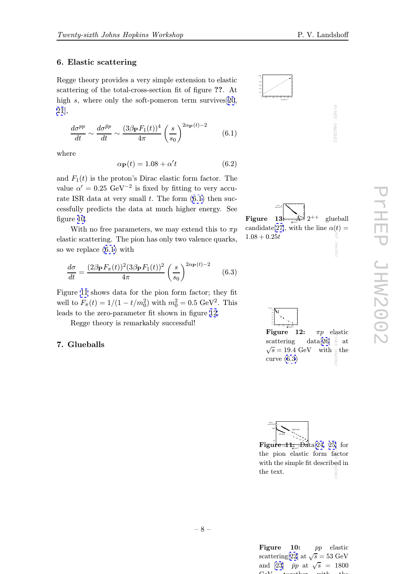#### <span id="page-7-0"></span>6. Elastic scattering

Regge theory provides a very simple extension to elastic scattering of the total-cross-section fit of figure ??. At high s, where only the soft-pomeron term survives [20, 21],

$$
\frac{d\sigma^{pp}}{dt} \sim \frac{d\sigma^{\bar{p}p}}{dt} \sim \frac{(3\beta_{\mathbf{P}}F_1(t))^4}{4\pi} \left(\frac{s}{s_0}\right)^{2\alpha_{\mathbf{P}}(t)-2} \tag{6.1}
$$

where

$$
\alpha \mathbf{P}(t) = 1.08 + \alpha' t \tag{6.2}
$$

and  $F_1(t)$  is the proton's Dirac elastic form factor. The value  $\alpha' = 0.25 \text{ GeV}^{-2}$  is fixed by fitting to very accurate ISR data at very small  $t$ . The form  $(6.1)$  then successfully predicts the data at much higher energy. See figure 10.

With no free parameters, we may extend this to  $\pi p$ elastic scattering. The pion has only two valence quarks, so we replace (6.1) with

$$
\frac{d\sigma}{dt} = \frac{(2\beta_{\mathbf{P}}F_{\pi}(t))^{2}(3\beta_{\mathbf{P}}F_{1}(t))^{2}}{4\pi} \left(\frac{s}{s_{0}}\right)^{2\alpha_{\mathbf{P}}(t)-2} \quad (6.3)
$$

Figure 11 shows data for the pion form factor; they fit well to  $F_{\pi}(t) = 1/(1 - t/m_0^2)$  with  $m_0^2 = 0.5 \text{ GeV}^2$ . This leads to the zero-parameter fit shown in figure 12.

Regge theory is remarkably successful!

#### 7. Glueballs



scattering  $\sqrt{s} = 19.4 \text{ GeV}$  with the curve (6.3)

PrHEP JHW2002 ZOOZMHL dHK



PrHEP JHW20[02](#page-18-0)  ${\bf Figure 11:}$   ${\bf Data}[24,\ 25]$  for the nion electic form factor ) the pion elastic form factor with the simple fit described in the text.

Figure 10:  $pp$  elastic<br>scattering[22] at  $\sqrt{s} = 53$  GeV and [23]  $\bar{p}p$  at  $\sqrt{s}$  = 1800  $C_2V = \text{tom}$  to  $\text{tanh} = \text{tln}$ 



 $13\,$ 

 $1.08 + 0.25t$ 

0 0.1 0.2 0.3 0.4 0.5 0.6 0.7 jtj (Geven 1 juli 1 juli 1 juli 1 juli 1 juli 1 juli 1 juli 1 juli 1 juli 1 juli 1 juli 1 juli 1 juli 1 juli 1  $2^{++}$ 

Figure 13:  $A = 2^{++}$  glueball<br>candidate[27], with the line  $\alpha(t) =$ 

)

1 1.2 1.4 1.6 1.8 2

PrHEP JHW2002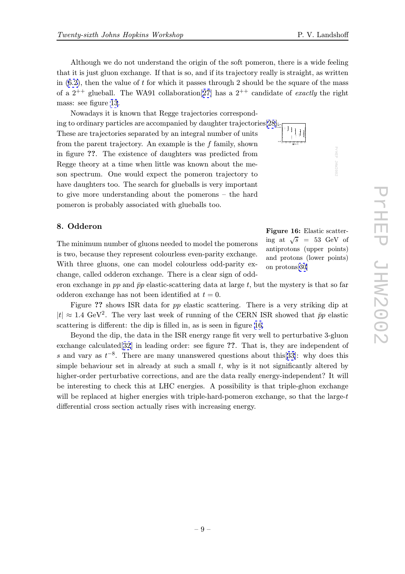Although we do not understand the origin of the soft pomeron, there is a wide feeling that it is just gluon exchange. If that is so, and if its trajectory really is straight, as written in  $(6.2)$ , then the value of t for which it passes through 2 should be the square of the mass of a  $2^{++}$  glueball. The WA91 collaboration [27] has a  $2^{++}$  candidate of *exactly* the right mass: see figure 13.

[No](#page-7-0)wadays it is known that Regge trajectories corresponding to ordinary particles are accompanied by [dau](#page-18-0)ghter trajectories[28]. These are trajec[tor](#page-7-0)ies separated by an integral number of units from the parent trajectory. An example is the f family, shown in figure ??. The existence of daughters was predicted from Regge theory at a time when little was known about the meson spectrum. One would expect the pomeron trajectory to have daughters too. The search for glueballs is very important to give more understanding about the pomerons – the hard pomeron is probably associated with glueballs too.

## 8. Odderon

The minimum number of gluons needed to model the pomerons is two, because they represent colourless even-parity exchange. With three gluons, one can model colourless odd-parity exchange, called odderon exchange. There is a clear sign of odd-

eron exchange in pp and  $\bar{p}p$  elastic-scattering data at large t, but the mystery is that so far odderon exchange has not been identified at  $t = 0$ .

Figure ?? shows ISR data for pp ela[st](#page-18-0)ic scattering. There is a very striking dip at  $|t| \approx 1.4 \text{ GeV}^2$ . The very last week of running of the CERN ISR showed that  $\bar{p}p$  elastic scattering is different: the dip is filled in, as is seen in figure 16.

Beyond the dip, the data in the ISR energy range fit very well to perturbative 3-gluon exchange calculated[32] in leading order: see figure ??. That is, they are independent of s and vary as  $t^{-8}$ . There are many unanswered questions about this [33]: why does this simple behaviour set in already at such a small  $t$ , why is it not significantly altered by higher-order pertur[bati](#page-18-0)ve corrections, and are the data really energy-independent? It will be interesting to check this at LHC energies. A possibility is that tri[ple](#page-18-0)-gluon exchange will be replaced at higher energies with triple-hard-pomeron exchange, so that the large-t differential cross section actually rises with increasing energy.

Figure 16: Elastic scattering at  $\sqrt{s}$  = 53 GeV of antiprotons (upper points) and protons (lower points) on protons[30]

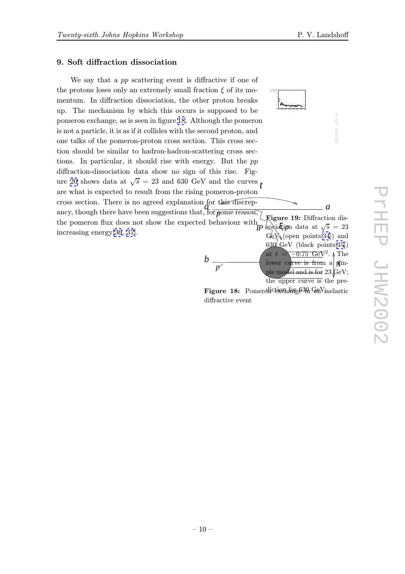## 9. Soft diffraction dissociation

We say that a pp scattering event is diffractive if one of 0 3 4 0.01 0.02 0.03 0.04 0.05 0.06 0.07 0.08 π−<sup>1</sup>d2σ/dtdξ (mb GeV−2) the pomeron flux does not show the expected behaviour with  $\frac{V}{IP}$  kosiation data at  $\sqrt{s} = 23$ *p p X* lower curve is from a simancy, though there have been suggestions that, for some reason,  $\overline{a}$  and  $\overline{a}$  and  $\overline{a}$  and  $\overline{a}$  and  $\overline{a}$  and  $\overline{a}$  and  $\overline{a}$  and  $\overline{a}$  and  $\overline{a}$  and  $\overline{a}$  and  $\overline{a}$  and  $\overline{a}$  and *b* ure 20 shows data at  $\sqrt{s} = 23$  and 630 GeV and the curves  $t$  $G_{\mathbb{C}}(open points[34])$  and  $630 \text{ GeV}$  (black points [35]) at  $t = -0.75 \text{ GeV}^2$ . A The ple model and is for  $23\text{/GeV}$ ; the protons loses only an extremely small fraction  $\xi$  of its momentum. In diffraction dissociation, the other proton breaks up. The mechanism by which this occurs is supposed to be pomeron exchange, as is seen in figure 18. Although the pomeron is not a particle, it is as if it collides with the second proton, and one talks of the pomeron-proton cross section. This cross section should be similar to hadron-hadron-scattering cross sections. In particular, it should rise with energy. But the pp diffraction-dissociation data show no sign of this rise. Figare what is expected to result from the rising pomeron-proton cross section. There is no agreed explanation for this discrepincreasing energy[36, 37].

> Figure 18: Pomerolictich for 63m GeVinelastic<br>diffusative avant diffractive event

the upper curve is the [pre](#page-18-0)-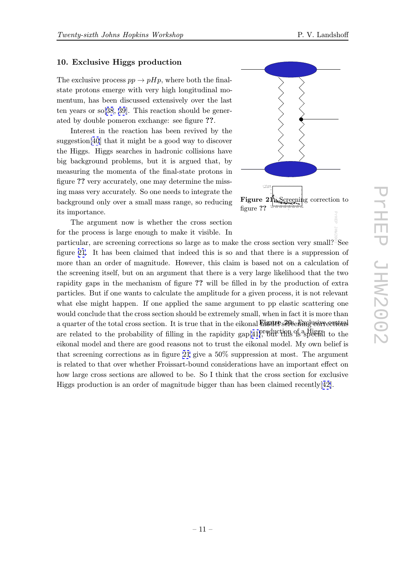## 10. Exclusive Higgs production

The exclusive process  $pp \to pHp$ , where both the finalstate protons emerge with very high longitudinal momentum, has been discussed extensively over the last ten years or so[38, 39]. This reaction should be generated by double pomeron exchange: see figure ??.

Interest in the reaction has been revived by the suggestion[40] [tha](#page-18-0)t [it](#page-18-0) might be a good way to discover the Higgs. Higgs searches in hadronic collisions have big background problems, but it is argued that, by measuring [th](#page-18-0)e momenta of the final-state protons in figure ?? very accurately, one may determine the missing mass very accurately. So one needs to integrate the background only over a small mass range, so reducing its importance.



a quarter of the total cross section. It is true that in the eikonal **Figure**s 20 effective content are related to the probability of filling in the rapidity gap[41<del>]</del>, but the special to the particular, are screening corrections so large as to make the cross section very small? See figure 21. It has been claimed that indeed this is so and that there is a suppression of more than an order of magnitude. However, this claim is based not on a calculation of the screening itself, but on an argument that there is a very large likelihood that the two rapidity gaps in the mechanism of figure ?? will be filled in by the production of extra particles. But if one wants to calculate the amplitude for a given process, it is not relevant what else might happen. If one applied the same argument to pp elastic scattering one would conclude that the cross section should be extremely small, when in fact it is more than eikonal model and there are good reasons not to trust the eikonal model. My own belief is that screening corrections as in figure 21 give a 50% suppression at most. The argument is related to that over whether Froissart-bound consideratio[ns h](#page-18-0)ave an important effect on how large cross sections are allowed to be. So I think that the cross section for exclusive Higgs production is an order of magnitude bigger than has been claimed recently[42].

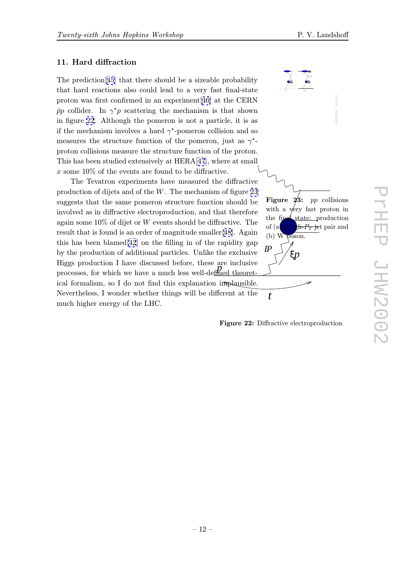## 11. Hard diffraction

The prediction[45] that there should be a sizeable probability that hard reactions also could lead to a very fast final-state proton was first confirmed in an experiment[46] at the CERN  $\bar{p}p$  collider. In  $\gamma^*p$  scattering the mechanism is that shown in figure 22. Although the pomeron is not a particle, it is as if the mechanism involves a hard  $\gamma^*$ -pomero[n c](#page-18-0)ollision and so measures the structure function of the pomeron, just as  $\gamma^*$ proton collisions measure the structure function of the proton. This has been studied extensively at HERA[47], where at small x some 10% of the events are found to be diffractive.

processes, for which [we h](#page-18-0)ave a much less well-defined theoret-The Tevatron experiments have measured the diffractive production of dijets and of the  $W$ . The mec[han](#page-18-0)ism of figure 23 suggests that the same pomeron structure function should be involved as in diffractive electroproduction, and that therefore again some  $10\%$  of dijet or W events should be diffractive. The result that is found is an order of magnitude smaller[48]. Again this has been blamed[42] on the filling in of the rapidity gap by the production of additional particles. Unlike the exclusive Higgs production I have discussed before, these ar[e i](#page-18-0)nclusive ical formalism, so I do not find this explanation implausible. Nevertheless, I wonder whether things will be different at the much higher energy of the LHC.

Figure 22: Diffractive electroproduction

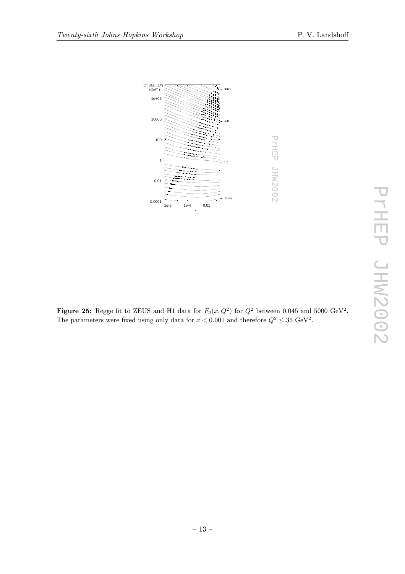

**Figure 25:** Regge fit to ZEUS and H1 data for  $F_2(x, Q^2)$  for  $Q^2$  between 0.045 and 5000 GeV<sup>2</sup>.<br>The parameters were fixed using only data for  $x \le 0.001$  and therefore  $Q^2 \le 25 \text{ GeV}^2$ . The parameters were fixed using only data for  $x < 0.001$  and therefore  $Q^2 \leq 35 \text{ GeV}^2$ .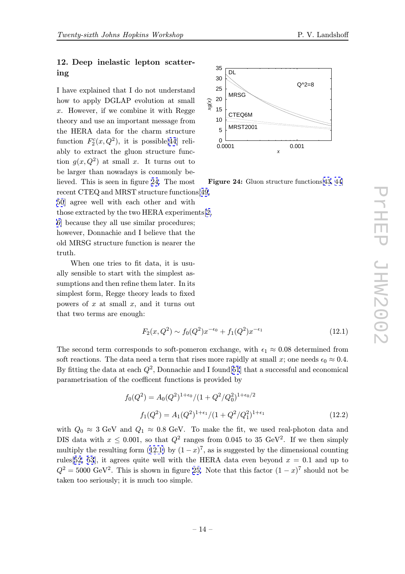## <span id="page-13-0"></span>12. Deep inelastic lepton scattering

I have explained that I do not understand how to apply DGLAP evolution at small x. However, if we combine it with Regge theory and use an important message from the HERA data for the charm structure function  $F_2^c(x,Q^2)$ , it is possible[44] reliably to extract the gluon structure function  $g(x, Q^2)$  at small x. It turns out to be larger than nowadays is comm[onl](#page-18-0)y believed. This is seen in figure 24. The most recent CTEQ and MRST structure functions[49, 50] agree well with each other and with those extracted by the two HERA experiments[2, 6] because they all use similar procedures; [ho](#page-18-0)wever, Donnachie and I believe that the old MRSG structure function is nearer the [tr](#page-17-0)uth.

When one tries to fit data, it is usually sensible to start with the simplest assumptions and then refine them later. In its simplest form, Regge theory leads to fixed powers of  $x$  at small  $x$ , and it turns out that two terms are enough:



Figure 24: Gluon structure functions[43, 44]

PrHEP JHW2002

١π

$$
F_2(x, Q^2) \sim f_0(Q^2) x^{-\epsilon_0} + f_1(Q^2) x^{-\epsilon_1}
$$
\n(12.1)

The second term corresponds to soft-pomeron exchange, with  $\epsilon_1 \approx 0.08$  determined from soft reactions. The data need a term that rises more rapidly at small x; one needs  $\epsilon_0 \approx 0.4$ . By fitting the data at each  $Q^2$ , Donnachie and I found [51] that a successful and economical parametrisation of the coefficent functions is provided by

$$
f_0(Q^2) = A_0(Q^2)^{1+\epsilon_0}/(1+Q^2/Q_0^2)^{1+\epsilon_0/2}
$$
  

$$
f_1(Q^2) = A_1(Q^2)^{1+\epsilon_1}/(1+Q^2/Q_1^2)^{1+\epsilon_1}
$$
 (12.2)

with  $Q_0 \approx 3$  GeV and  $Q_1 \approx 0.8$  GeV. To make the fit, we used real-photon data and DIS data with  $x \le 0.001$ , so that  $Q^2$  ranges from 0.045 to 35 GeV<sup>2</sup>. If we then simply multiply the resulting form (12.1) by  $(1-x)^7$ , as is suggested by the dimensional counting rules [52, 53], it agrees quite well with the HERA data even beyond  $x = 0.1$  and up to  $Q^2 = 5000 \text{ GeV}^2$ . This is shown in figure 25. Note that this factor  $(1-x)^7$  should not be taken too seriously; it is much too simple.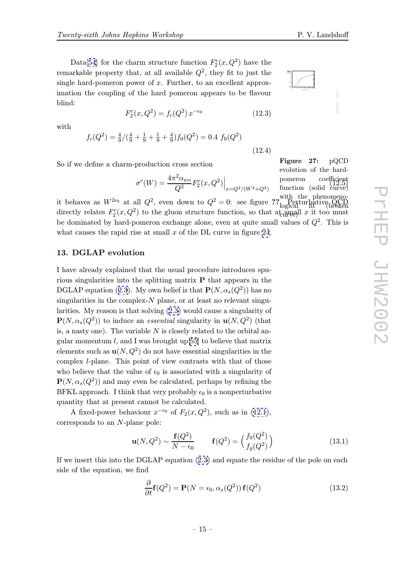<span id="page-14-0"></span>Data<sup>[54]</sup> for the charm structure function  $F_2^c(x, Q^2)$  have the remarkable property that, at all available  $Q^2$ , they fit to just the single hard-pomeron power of  $x$ . Further, to an excellent approximation t[he](#page-19-0) coupling of the hard pomeron appears to be flavour blind:

$$
F_2^c(x, Q^2) = f_c(Q^2) x^{-\epsilon_0}
$$
 (12.3)

with

$$
f_c(Q^2) = \frac{4}{9} / (\frac{4}{9} + \frac{1}{9} + \frac{4}{9} + \frac{4}{9}) f_0(Q^2) = 0.4 f_0(Q^2)
$$
\n(12.4)

So if we define a charm-production cross section

$$
\sigma^{c}(W) = \frac{4\pi^{2}\alpha_{\text{EM}}}{Q^{2}}F_{2}^{c}(x,Q^{2})\Big|_{x=Q^{2}/(W^{2}+Q^{2})}
$$
 pomeron coefficient  
function (solid curve)  
interior (solid curve)

with the phenomenological fit (broken directly relates  $F_2^c(x,Q^2)$  to the gluon structure function, so that at small x it too must it behaves as  $W^{2\epsilon_0}$  at all  $Q^2$ , even down to  $Q^2 = 0$ : see figure ??. Perturbative QCD<br>directly relates  $E^{c}(R, Q^2)$  to the gluen structure function, so that a popular it to prove be dominated by hard-pomeron exchange alone, even at quite small values of  $Q^2$ . This is what causes the rapid rise at small  $x$  of the DL curve in figure 24.

#### 13. DGLAP evolution

I have already explained that the usual procedure introduces s[pu](#page-13-0)rious singularities into the splitting matrix  $P$  that appears in the DGLAP equation (2.3). My own belief is that  $\mathbf{P}(N,\alpha_s(Q^2))$  has no singularities in the complex- $N$  plane, or at least no relevant singularities. My reason is that solving (2.3) would cause a singularity of  ${\bf P}(N,\alpha_s(Q^2))$  to i[nduc](#page-2-0)e an *essential* singularity in  ${\bf u}(N,Q^2)$  (that is, a nasty one). The variable  $N$  is closely related to the orbital angular momentum  $l$ , and I was brou[ght](#page-2-0) up [55] to believe that matrix elements such as  $\mathbf{u}(N,Q^2)$  do not have essential singularities in the complex l-plane. This point of view contrasts with that of those who believe that the value of  $\epsilon_0$  is associ[ate](#page-19-0)d with a singularity of  $\mathbf{P}(N,\alpha_s(Q^2))$  and may even be calculated, perhaps by refining the BFKL approach. I think that very probably  $\epsilon_0$  is a nonperturbative quantity that at present cannot be calculated.

A fixed-power behaviour  $x^{-\epsilon_0}$  of  $F_2(x, Q^2)$ , such as in (12.1), corresponds to an N-plane pole:

$$
\mathbf{u}(N, Q^2) \sim \frac{\mathbf{f}(Q^2)}{N - \epsilon_0} \qquad \mathbf{f}(Q^2) = \begin{pmatrix} f_0(Q^2) \\ f_g(Q^2) \end{pmatrix} \tag{13.1}
$$

If we insert this into the DGLAP equation (2.3) and equate the residue of the pole on each side of the equation, we find

$$
\frac{\partial}{\partial t} \mathbf{f}(Q^2) = \mathbf{P}(N = \epsilon_0, \alpha_s(Q^2)) \mathbf{f}(Q^2)
$$
\n(13.2)



Figure 27: pQCD evolution of the hardpomeron coefficient function (solid  $\text{curves}$ )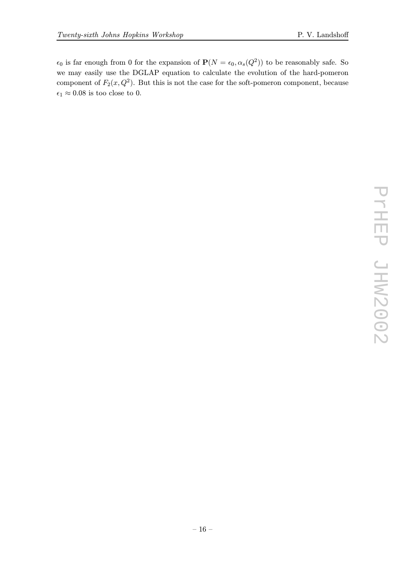$\epsilon_0$  is far enough from 0 for the expansion of  $P(N = \epsilon_0, \alpha_s(Q^2))$  to be reasonably safe. So we may easily use the DGLAP equation to calculate the evolution of the hard-pomeron component of  $F_2(x, Q^2)$ . But this is not the case for the soft-pomeron component, because  $\epsilon_1 \approx 0.08$  is too close to 0.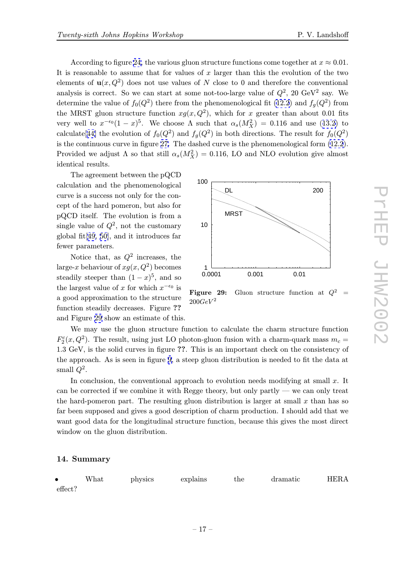According to figure 24, the various gluon structure functions come together at  $x \approx 0.01$ . It is reasonable to assume that for values of x larger than this the evolution of the two elements of  $\mathbf{u}(x, Q^2)$  does not use values of N close to 0 and therefore the conventional analysis is correct. So [we](#page-13-0) can start at some not-too-large value of  $Q^2$ , 20 GeV<sup>2</sup> say. We determine the value of  $f_0(Q^2)$  there from the phenomenological fit (12.2) and  $f_q(Q^2)$  from the MRST gluon structure function  $xg(x, Q^2)$ , which for x greater than about 0.01 fits very well to  $x^{-\epsilon_0}(1-x)^5$ . We choose  $\Lambda$  such that  $\alpha_s(M_X^2) = 0.116$  and use (13.2) to<br>colorizate [44] the evolution of  $f(\Omega^2)$  and  $f(\Omega^2)$  in hoth directions. The possible for  $f(\Omega^2)$ calculate [44] the evolution of  $f_0(Q^2)$  and  $f_g(Q^2)$  in both directions. [The](#page-13-0) result for  $f_0(Q^2)$ is the continuous curve in figure 27. The dashed curve is the phenomenological form (12.2). Provided we adjust  $\Lambda$  so that still  $\alpha_s(M_X^2) = 0.116$ , LO and NLO evolution giv[e alm](#page-14-0)ost identical results identical [res](#page-18-0)ults.

The agreement between the [pQ](#page-14-0)CD calculation and the phenomenological curve is a success not only for the concept of the hard pomeron, but also for pQCD itself. The evolution is from a single value of  $Q^2$ , not the customary global fit[49, 50], and it introduces far fewer parameters.

Notice that, as  $Q^2$  increases, the large-x b[eha](#page-18-0)v[iou](#page-18-0)r of  $xq(x, Q^2)$  becomes steadily steeper than  $(1-x)^5$ , and so the largest value of x for which  $x^{-\epsilon_0}$  is a good approximation to the structure function steadily decreases. Figure ?? and Figure 29 show an estimate of this.



**Figure 29:** Gluon structure function at  $Q^2$  =  $200 GeV^2$ 

We may use the gluon structure function to calculate the charm structure function  $F_2^c(x, Q^2)$ . The result, using just LO photon-gluon fusion with a charm-quark mass  $m_c =$ <sup>1</sup>.3 GeV, is the solid curves in figure ??. This is an important check on the consistency of the approach. As is seen in figure 9, a steep gluon distribution is needed to fit the data at small  $Q^2$ .

In conclusion, the conventional approach to evolution needs modifying at small  $x$ . It can be corrected if we combine it [w](#page-6-0)ith Regge theory, but only partly — we can only treat the hard-pomeron part. The resulting gluon distribution is larger at small  $x$  than has so far been supposed and gives a good description of charm production. I should add that we want good data for the longitudinal structure function, because this gives the most direct window on the gluon distribution.

#### 14. Summary

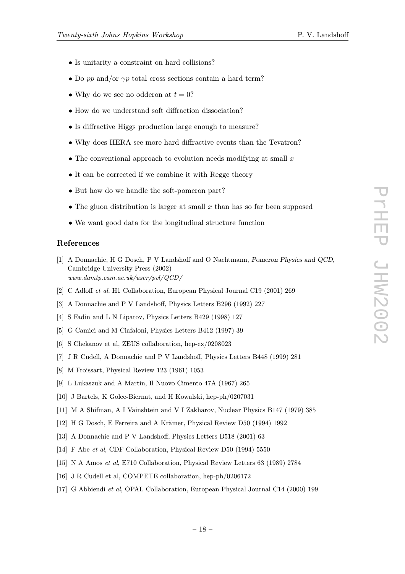- <span id="page-17-0"></span>• Is unitarity a constraint on hard collisions?
- Do pp and/or  $\gamma p$  total cross sections contain a hard term?
- Why do we see no odderon at  $t = 0$ ?
- How do we understand soft diffraction dissociation?
- Is diffractive Higgs production large enough to measure?
- Why does HERA see more hard diffractive events than the Tevatron?
- The conventional approach to evolution needs modifying at small  $x$
- It can be corrected if we combine it with Regge theory
- But how do we handle the soft-pomeron part?
- The gluon distribution is larger at small x than has so far been supposed
- We want good data for the longitudinal structure function

#### References

- [1] A Donnachie, H G Dosch, P V Landshoff and O Nachtmann, Pomeron Physics and QCD, Cambridge University Press (2002) www.damtp.cam.ac.uk/user/pvl/QCD/
- [2] C Adloff et al, H1 Collaboration, European Physical Journal C19 (2001) 269
- [3] A Donnachie and P V Landshoff, Physics Letters B296 (1992) 227
- [4] S Fadin and L N Lipatov, Physics Letters B429 (1998) 127
- [5] G Camici and M Ciafaloni, Physics Letters B412 (1997) 39
- [6] S Chekanov et al, ZEUS collaboration, hep-ex/0208023
- [7] J R Cudell, A Donnachie and P V Landshoff, Physics Letters B448 (1999) 281
- [8] M Froissart, Physical Review 123 (1961) 1053
- [9] L Lukaszuk and A Martin, Il Nuovo Cimento 47A (1967) 265
- [10] J Bartels, K Golec-Biernat, and H Kowalski, hep-ph/0207031
- [11] M A Shifman, A I Vainshtein and V I Zakharov, Nuclear Physics B147 (1979) 385
- [12] H G Dosch, E Ferreira and A Krämer, Physical Review D50 (1994) 1992
- [13] A Donnachie and P V Landshoff, Physics Letters B518 (2001) 63
- [14] F Abe et al, CDF Collaboration, Physical Review D50 (1994) 5550
- [15] N A Amos et al, E710 Collaboration, Physical Review Letters 63 (1989) 2784
- [16] J R Cudell et al, COMPETE collaboration, hep-ph/0206172
- [17] G Abbiendi et al, OPAL Collaboration, European Physical Journal C14 (2000) 199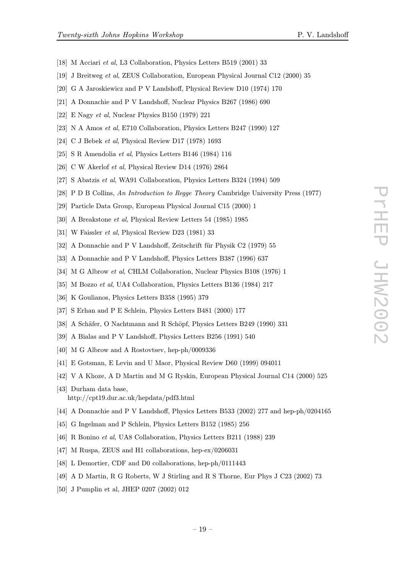- <span id="page-18-0"></span>[18] M Acciari et al, L3 Collaboration, Physics Letters B519 (2001) 33
- [19] J Breitweg et al, ZEUS Collaboration, European Physical Journal C12 (2000) 35
- [20] G A Jaroskiewicz and P V Landshoff, Physical Review D10 (1974) 170
- [21] A Donnachie and P V Landshoff, Nuclear Physics B267 (1986) 690
- [22] E Nagy et al, Nuclear Physics B150 (1979) 221
- [23] N A Amos et al, E710 Collaboration, Physics Letters B247 (1990) 127
- [24] C J Bebek et al, Physical Review D17 (1978) 1693
- [25] S R Amendolia et al, Physics Letters B146 (1984) 116
- [26] C W Akerlof et al, Physical Review D14 (1976) 2864
- [27] S Abatzis et al, WA91 Collaboration, Physics Letters B324 (1994) 509
- [28] P D B Collins, An Introduction to Regge Theory Cambridge University Press (1977)
- [29] Particle Data Group, European Physical Journal C15 (2000) 1
- [30] A Breakstone et al, Physical Review Letters 54 (1985) 1985
- [31] W Faissler et al, Physical Review D23 (1981) 33
- [32] A Donnachie and P V Landshoff, Zeitschrift für Physik C2 (1979) 55
- [33] A Donnachie and P V Landshoff, Physics Letters B387 (1996) 637
- [34] M G Albrow et al, CHLM Collaboration, Nuclear Physics B108 (1976) 1
- [35] M Bozzo et al, UA4 Collaboration, Physics Letters B136 (1984) 217
- [36] K Goulianos, Physics Letters B358 (1995) 379
- [37] S Erhan and P E Schlein, Physics Letters B481 (2000) 177
- [38] A Schäfer, O Nachtmann and R Schöpf, Physics Letters B249 (1990) 331
- [39] A Bialas and P V Landshoff, Physics Letters B256 (1991) 540
- [40] M G Albrow and A Rostovtsev, hep-ph/0009336
- [41] E Gotsman, E Levin and U Maor, Physical Review D60 (1999) 094011
- [42] V A Khoze, A D Martin and M G Ryskin, European Physical Journal C14 (2000) 525
- [43] Durham data base, http://cpt19.dur.ac.uk/hepdata/pdf3.html
- [44] A Donnachie and P V Landshoff, Physics Letters B533 (2002) 277 and hep-ph/0204165
- [45] G Ingelman and P Schlein, Physics Letters B152 (1985) 256
- [46] R Bonino et al, UA8 Collaboration, Physics Letters B211 (1988) 239
- [47] M Ruspa, ZEUS and H1 collaborations, hep-ex/0206031
- [48] L Demortier, CDF and D0 collaborations, hep-ph/0111443
- [49] A D Martin, R G Roberts, W J Stirling and R S Thorne, Eur Phys J C23 (2002) 73
- [50] J Pumplin et al, JHEP 0207 (2002) 012